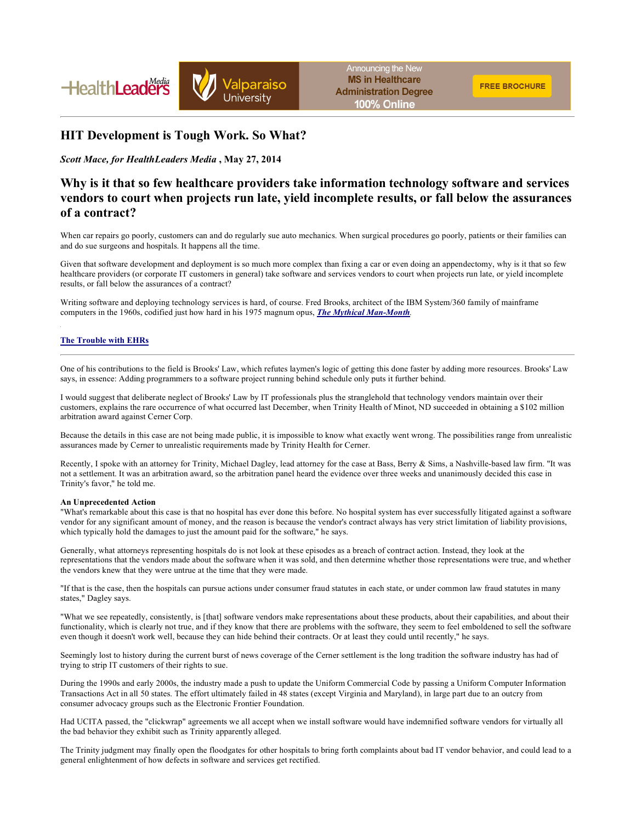



## **HIT Development is Tough Work. So What?**

*Scott Mace, for HealthLeaders Media* **, May 27, 2014** 

# **Why is it that so few healthcare providers take information technology software and services vendors to court when projects run late, yield incomplete results, or fall below the assurances of a contract?**

When car repairs go poorly, customers can and do regularly sue auto mechanics. When surgical procedures go poorly, patients or their families can and do sue surgeons and hospitals. It happens all the time.

Given that software development and deployment is so much more complex than fixing a car or even doing an appendectomy, why is it that so few healthcare providers (or corporate IT customers in general) take software and services vendors to court when projects run late, or yield incomplete results, or fall below the assurances of a contract?

Writing software and deploying technology services is hard, of course. Fred Brooks, architect of the IBM System/360 family of mainframe computers in the 1960s, codified just how hard in his 1975 magnum opus, *The Mythical Man-Month.*

## **The Trouble with EHRs**

One of his contributions to the field is Brooks' Law, which refutes laymen's logic of getting this done faster by adding more resources. Brooks' Law says, in essence: Adding programmers to a software project running behind schedule only puts it further behind.

I would suggest that deliberate neglect of Brooks' Law by IT professionals plus the stranglehold that technology vendors maintain over their customers, explains the rare occurrence of what occurred last December, when Trinity Health of Minot, ND succeeded in obtaining a \$102 million arbitration award against Cerner Corp.

Because the details in this case are not being made public, it is impossible to know what exactly went wrong. The possibilities range from unrealistic assurances made by Cerner to unrealistic requirements made by Trinity Health for Cerner.

Recently, I spoke with an attorney for Trinity, Michael Dagley, lead attorney for the case at Bass, Berry & Sims, a Nashville-based law firm. "It was not a settlement. It was an arbitration award, so the arbitration panel heard the evidence over three weeks and unanimously decided this case in Trinity's favor," he told me.

#### **An Unprecedented Action**

"What's remarkable about this case is that no hospital has ever done this before. No hospital system has ever successfully litigated against a software vendor for any significant amount of money, and the reason is because the vendor's contract always has very strict limitation of liability provisions, which typically hold the damages to just the amount paid for the software," he says.

Generally, what attorneys representing hospitals do is not look at these episodes as a breach of contract action. Instead, they look at the representations that the vendors made about the software when it was sold, and then determine whether those representations were true, and whether the vendors knew that they were untrue at the time that they were made.

"If that is the case, then the hospitals can pursue actions under consumer fraud statutes in each state, or under common law fraud statutes in many states," Dagley says.

"What we see repeatedly, consistently, is [that] software vendors make representations about these products, about their capabilities, and about their functionality, which is clearly not true, and if they know that there are problems with the software, they seem to feel emboldened to sell the software even though it doesn't work well, because they can hide behind their contracts. Or at least they could until recently," he says.

Seemingly lost to history during the current burst of news coverage of the Cerner settlement is the long tradition the software industry has had of trying to strip IT customers of their rights to sue.

During the 1990s and early 2000s, the industry made a push to update the Uniform Commercial Code by passing a Uniform Computer Information Transactions Act in all 50 states. The effort ultimately failed in 48 states (except Virginia and Maryland), in large part due to an outcry from consumer advocacy groups such as the Electronic Frontier Foundation.

Had UCITA passed, the "clickwrap" agreements we all accept when we install software would have indemnified software vendors for virtually all the bad behavior they exhibit such as Trinity apparently alleged.

The Trinity judgment may finally open the floodgates for other hospitals to bring forth complaints about bad IT vendor behavior, and could lead to a general enlightenment of how defects in software and services get rectified.